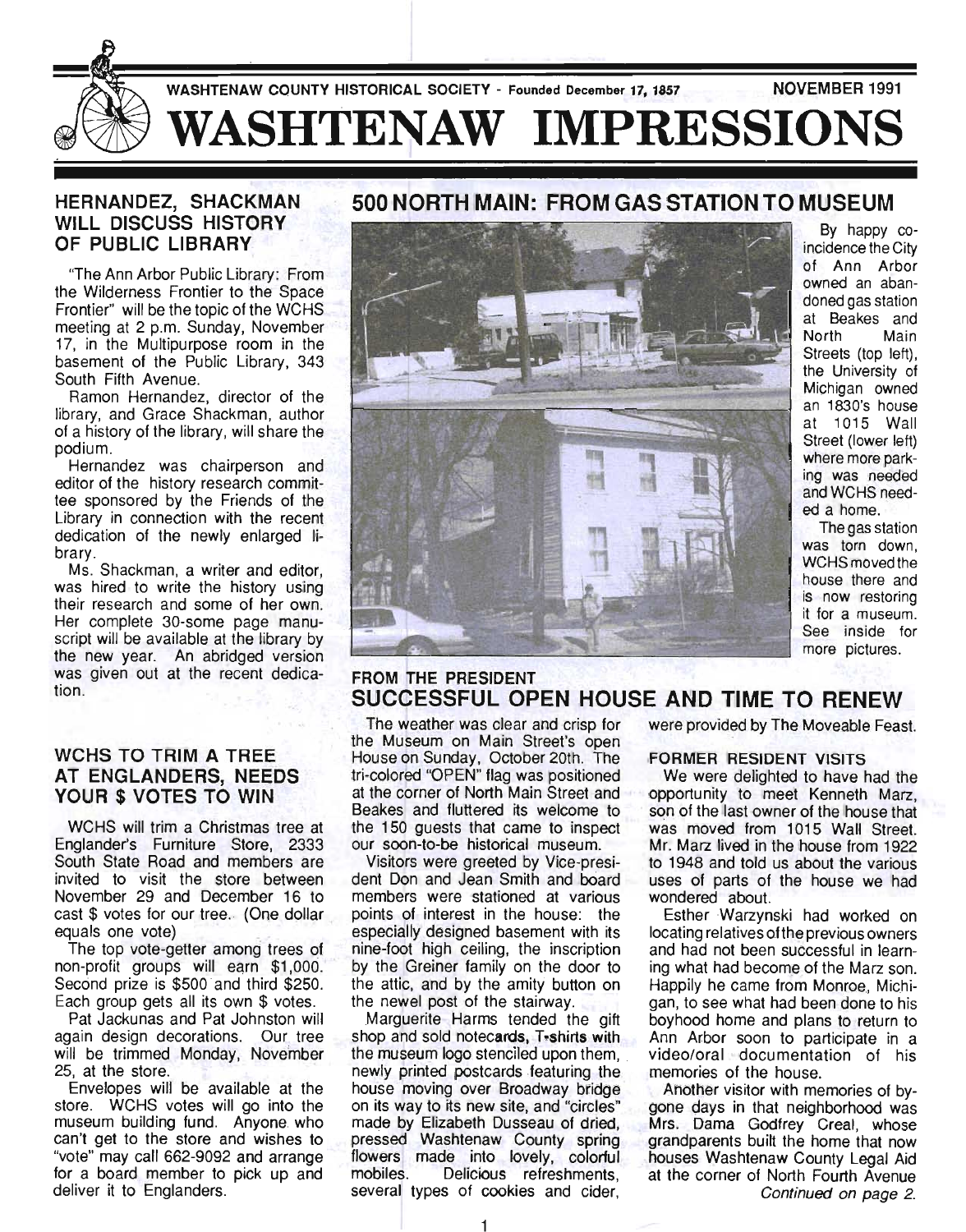

### HERNANDEZ, SHACKMAN WILL DISCUSS HISTORY OF PUBLIC LIBRARY

"The Ann Arbor Public Library: From the Wilderness Frontier to the Space Frontier" will be the topic of the WCHS meeting at 2 p.m. Sunday, November 17, in the Multipurpose room in the basement of the Public Library, 343 South Fifth Avenue.

Ramon Hernandez, director of the library, and Grace Shackman, author of a history of the library, will share the podium.

Hernandez was chairperson and editor of the history research committee sponsored by the Friends of the Library in connection with the recent dedication of the newly enlarged library.

Ms. Shackman, a writer and editor, was hired to write the history using their research and some of her own. Her complete 30-some page manuscript will be available at the library by the new year. An abridged version was given out at the recent dedication.

### WCHS TO TRIM A TREE AT ENGLANDERS, NEEDS YOUR \$ VOTES TO WIN

WCHS will trim a Christmas tree at Englander's Furniture Store, 2333 South State Road and members are invited to visit the store between November 29 and December 16 to cast \$ votes for our tree. (One dollar ...<br>equals one vote)

The top vote-getter among trees of non-profit groups will earn \$1,000. Second prize is \$500 and third \$250. Each group gets all its own \$ votes.

Pat Jackunas and Pat Johnston will again design decorations. Our tree will be trimmed Monday, November 25, at the store.

Envelopes will be available at the store. WCHS votes will go into the museum building fund. Anyone who can't get to the store and wishes to "vote" may call 662-9092 and arrange for a board member to pick up and deliver it to Englanders.

# 500 NORTH MAIN: FROM GAS STATION TO MUSEUM



By happy coincidence the City of Ann Arbor owned an abandoned gas station at Beakes and North Main Streets (top left), the University of Michigan owned an 1830's house at 1015 Wall Street (lower left) where more parking was needed and WCHS needed a home.

The gas station was torn down, WCHS moved the house there and is now restoring it for a museum. See inside for more pictures.

### FROM THE PRESIDENT SUCCESSFUL OPEN HOUSE AND TIME TO RENEW

The weather was clear and crisp for the Museum on Main Street's open House on Sunday, October 20th. The tri-colored "OPEN" flag was positioned at the corner of North Main Street and Beakes and fluttered its welcome to the 150 guests that came to inspect our soon-to-be historical museum.

Visitors were greeted by Vice-president Don and Jean Smith and board members were stationed at various points of interest in the house: the especially designed basement with its nine-foot high ceiling, the inscription by the Greiner family on the door to the attic, and by the amity button on the newel post of the stairway.

Marguerite Harms tended the gift shop and sold notecards, T-shirts with the museum logo stenciled upon them, newly printed postcards featuring the house moving over Broadway bridge on its way to its new site, and "circles" made by Elizabeth Dusseau of dried, pressed Washtenaw County spring flowers made into lovely, colorful mobiles. Delicious refreshments, several types of cookies and cider,

were provided by The Moveable Feast.

### FORMER RESIDENT VISITS

We were delighted to have had the opportunity to meet Kenneth Marz, son of the last owner of the house that was moved from 1015 Wall Street. Mr. Marz lived in the house from 1922 . to 1948 and told us about the various uses of parts of the house we had wondered about.

Esther Warzynski had worked on locating relatives ofthe previous owners and had not been successful in learning what had become of the Marz son. Happily he came from Monroe, Michigan, to see what had been done to his boyhood home and plans to return to Ann Arbor soon to participate in a video/oral documentation of his memories of the house.

Another visitor with memories of bygone days in that neighborhood was Mrs. Dama Godfrey Creal, whose grandparents built the home that now houses Washtenaw County Legal Aid at the corner of North Fourth Avenue Continued on page 2.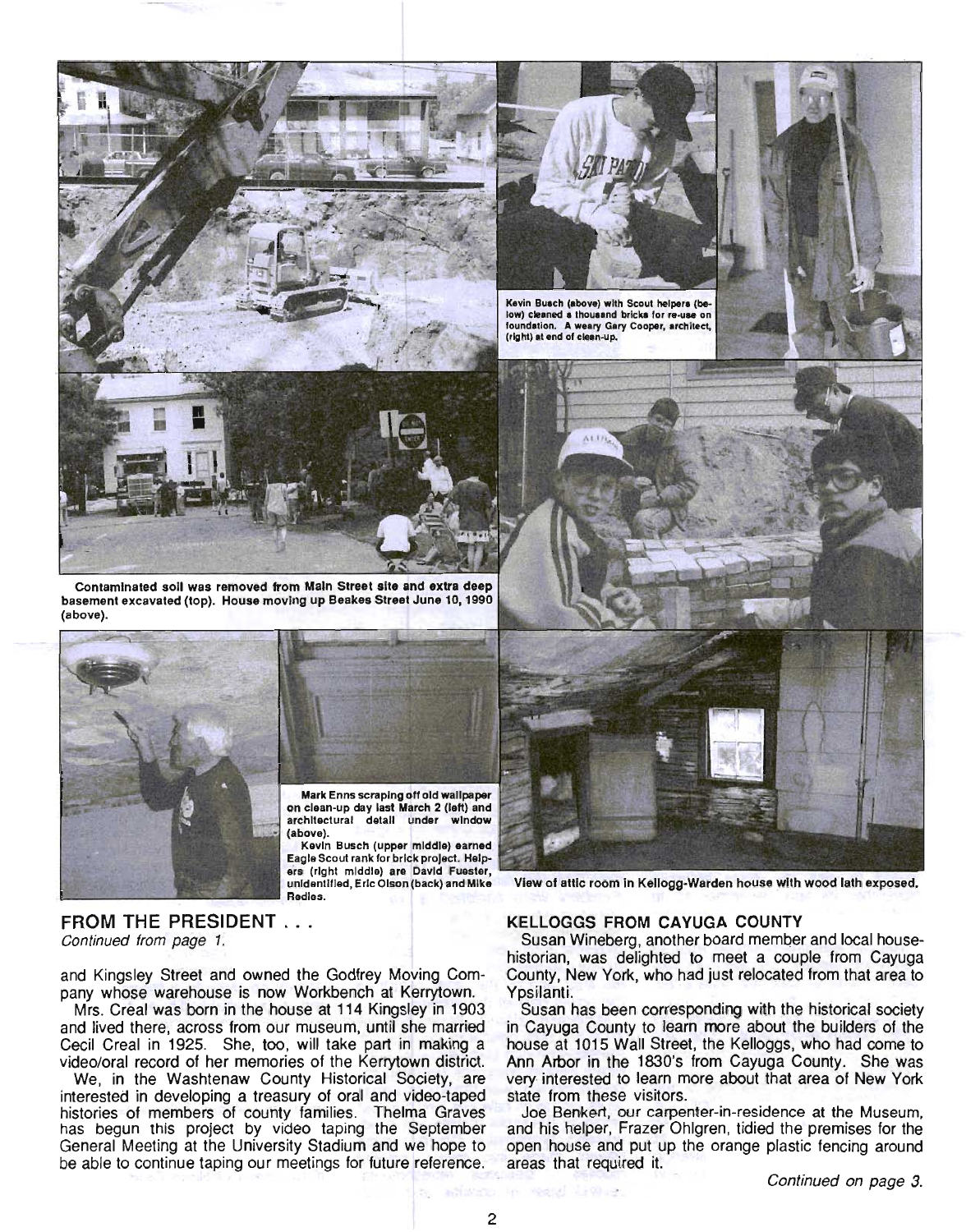

Contaminated soil was removed from Main Street site and extra deep basement excavated (top). House moving up Beakes Street June 10, 1990 (above).





on clean-up day last March 2 (left) and architectural detail under window (above).

Kevin Busch (upper middle) earned Eagle Scout rank for brick project. Helpers (right middle) are David Fuester, unidentified, Eric Olson (back) and Mike Redles.



Kevin Busch (above) with Scout helpers (below) cleaned a thousand bricks for re-use on foundation. A weary Gary Cooper, architect, (right) at end of clean-up.

View of attic room in Kellogg-Warden house with wood lath exposed.

FROM THE PRESIDENT . . . Continued from page 1.

and Kingsley Street and owned the Godfrey Moving Company whose warehouse is now Workbench at Kerrytown.

Mrs. Creal was born in the house at 114 Kingsley in 1903 and lived there, across from our museum, until she married Cecil Creal in 1925. She, too, will take part in making a video/oral record of her memories of the Kerrytown district.

We, in the Washtenaw County Historical Society, are interested in developing a treasury of oral and video-taped histories of members of county families. Thelma Graves has begun this project by video taping the September General Meeting at the University Stadium and we hope to be able to continue taping our meetings for future reference.

#### KELLOGGS FROM CAYUGA COUNTY

Susan Wineberg, another board member and local househistorian, was delighted to meet a couple from Cayuga County, New York, who had just relocated from that area to Ypsilanti.

Susan has been corresponding with the historical society in Cayuga County to learn more about the bu ilders of the house at 1015 Wall Street, the Kelloggs, who had come to Ann Arbor in the 1830's from Cayuga County. She was very interested to learn more about that area of New York state from these visitors.

Joe Benkert, our carpenter-in-residence at the Museum, and his helper, Frazer Ohlgren, tidied the premises for the open house and put up the orange plastic fencing around areas that required it.

2

In 1982년 부분 관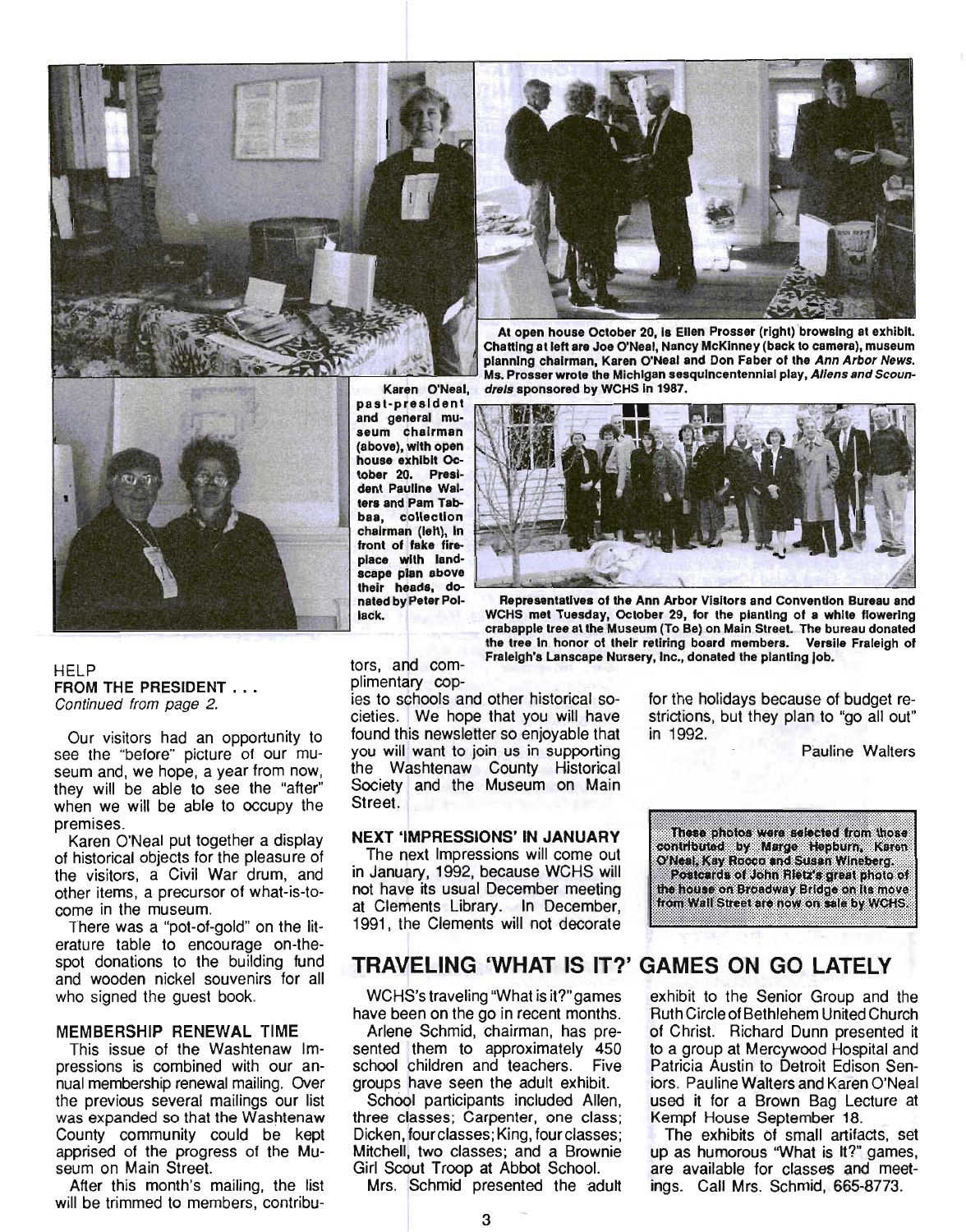



At open house October *20,* Is Ellen Prosser (right) browsing at exhibit. Chatting at left are Joe O'Neal, Nancy McKinney (back to camera), museum planning chairman, Karen O'Neal and Don Faber of the Ann Arbor News. Ms. Prosser wrote the Michigan sesquincentennial play, Aliens and Scoundrels sponsored by WCHS In 1987.



past-president and general museum chairman (above), with open house exhibit October *20.* President Pauline Waiters and Pam Tabbaa, collection chairman (left), In front of fake fireplace with landscape plan above their heads, donated by Peter Pollack.



Representatives of the Ann Arbor Visitors and Convention Bureau and WCHS met Tuesday, October 29, for the planting of a white flowering crabapple tree at the Museum (To Be) on Main Street. The bureau donated the tree in honor of their retiring board members. Versile Fraleigh of Fraleigh's Lanscape Nursery, Inc., donated the planting job.

HELP FROM THE PRESIDENT . . . Continued from page 2.

Our visitors had an opportunity to see the "before" picture of our museum and, we hope, a year from now, they will be able to see the "after" when we will be able to occupy the premises.

Karen O'Neal put together a display of historical objects for the pleasure of the visitors, a Civil War drum, and other items, a precursor of what-is-tocome in the museum.

There was a "pot-of-gold" on the literature table to encourage on-thespot donations to the building fund and wooden nickel souvenirs for all who signed the guest book.

#### MEMBERSHIP RENEWAL TIME

This issue of the Washtenaw Impressions is combined with our annual membership renewal mailing. Over the previous several mailings our list was expanded so that the Washtenaw County community could be kept apprised of the progress of the Museum on Main Street.

After this month's mailing, the list will be trimmed to members, contributors, and complimentary cop-

ies to schools and other historical societies. We hope that you will have found this newsletter so enjoyable that you will want to join us in supporting the Washtenaw County Historical Society and the Museum on Main Street.

#### NEXT 'IMPRESSIONS' IN JANUARY

The next Impressions will come out in January, 1992, because WCHS will not have its usual December meeting at Clements Library. In December, 1991, the Clements will not decorate

for the holidays because of budget restrictions, but they plan to "go all out" in 1992.

Pauline Walters



## TRAVELING 'WHAT IS IT?' GAMES ON GO LATELY

WCHS's traveling "What is it?" games have been on the go in recent months.

Arlene Schmid, chairman, has presented them to approximately 450 school children and teachers. Five groups have seen the adult exhibit.

School participants included Allen, three classes; Carpenter, one class; Dicken, four classes; King, fourclasses; Mitchell, two classes; and a Brownie Girl Scout Troop at Abbot School.

Mrs. Schmid presented the adult

exhibit to the Senior Group and the Ruth Circle of Bethlehem United Church of Christ. Richard Dunn presented it to a group at Mercywood Hospital and Patricia Austin to Detroit Edison Seniors. Pauline Walters and Karen O'Neal used it for a Brown Bag Lecture at Kempf House September 18.

The exhibits of small artifacts, set up as humorous "What is It?" games, are available for classes and meetings. Call Mrs. Schmid, 665-8773.